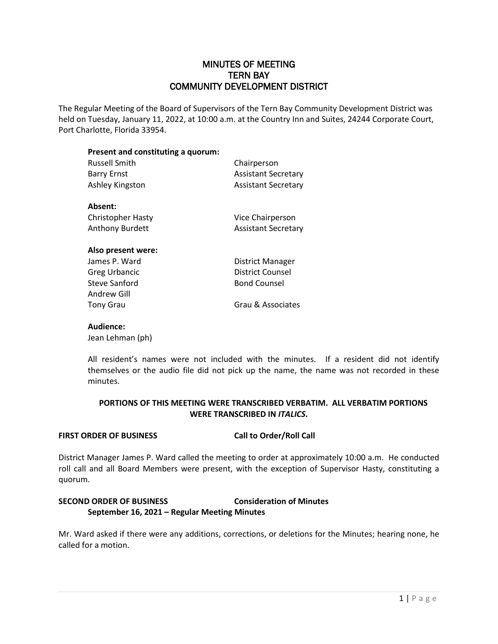# MINUTES OF MEETING TERN BAY COMMUNITY DEVELOPMENT DISTRICT

The Regular Meeting of the Board of Supervisors of the Tern Bay Community Development District was held on Tuesday, January 11, 2022, at 10:00 a.m. at the Country Inn and Suites, 24244 Corporate Court, Port Charlotte, Florida 33954.

| Present and constituting a quorum:<br><b>Russell Smith</b> | Chairperson                |
|------------------------------------------------------------|----------------------------|
|                                                            |                            |
| Ashley Kingston                                            | <b>Assistant Secretary</b> |
| Absent:                                                    |                            |
| <b>Christopher Hasty</b>                                   | Vice Chairperson           |
| <b>Anthony Burdett</b>                                     | <b>Assistant Secretary</b> |
| Also present were:                                         |                            |
| James P. Ward                                              | <b>District Manager</b>    |
| Greg Urbancic                                              | District Counsel           |
| Steve Sanford                                              | <b>Bond Counsel</b>        |
| Andrew Gill                                                |                            |
| Tony Grau                                                  | Grau & Associates          |

# **Audience:**

Jean Lehman (ph)

All resident's names were not included with the minutes. If a resident did not identify themselves or the audio file did not pick up the name, the name was not recorded in these minutes.

## **PORTIONS OF THIS MEETING WERE TRANSCRIBED VERBATIM. ALL VERBATIM PORTIONS WERE TRANSCRIBED IN** *ITALICS***.**

## **FIRST ORDER OF BUSINESS Call to Order/Roll Call**

District Manager James P. Ward called the meeting to order at approximately 10:00 a.m. He conducted roll call and all Board Members were present, with the exception of Supervisor Hasty, constituting a quorum.

# **SECOND ORDER OF BUSINESS Consideration of Minutes September 16, 2021 – Regular Meeting Minutes**

Mr. Ward asked if there were any additions, corrections, or deletions for the Minutes; hearing none, he called for a motion.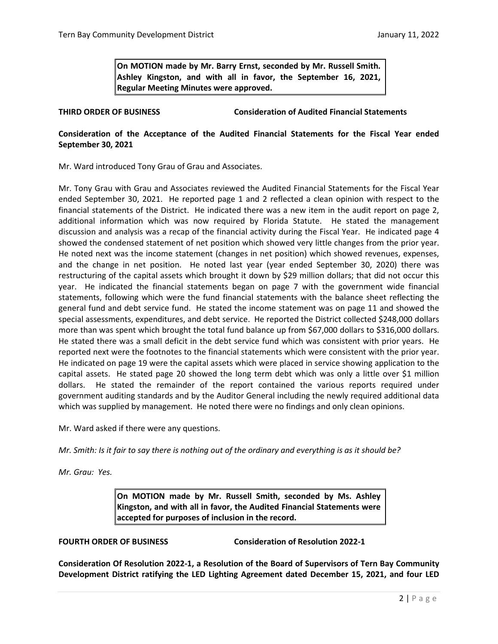**On MOTION made by Mr. Barry Ernst, seconded by Mr. Russell Smith. Ashley Kingston, and with all in favor, the September 16, 2021, Regular Meeting Minutes were approved.**

## **THIRD ORDER OF BUSINESS Consideration of Audited Financial Statements**

## **Consideration of the Acceptance of the Audited Financial Statements for the Fiscal Year ended September 30, 2021**

Mr. Ward introduced Tony Grau of Grau and Associates.

Mr. Tony Grau with Grau and Associates reviewed the Audited Financial Statements for the Fiscal Year ended September 30, 2021. He reported page 1 and 2 reflected a clean opinion with respect to the financial statements of the District. He indicated there was a new item in the audit report on page 2, additional information which was now required by Florida Statute. He stated the management discussion and analysis was a recap of the financial activity during the Fiscal Year. He indicated page 4 showed the condensed statement of net position which showed very little changes from the prior year. He noted next was the income statement (changes in net position) which showed revenues, expenses, and the change in net position. He noted last year (year ended September 30, 2020) there was restructuring of the capital assets which brought it down by \$29 million dollars; that did not occur this year. He indicated the financial statements began on page 7 with the government wide financial statements, following which were the fund financial statements with the balance sheet reflecting the general fund and debt service fund. He stated the income statement was on page 11 and showed the special assessments, expenditures, and debt service. He reported the District collected \$248,000 dollars more than was spent which brought the total fund balance up from \$67,000 dollars to \$316,000 dollars. He stated there was a small deficit in the debt service fund which was consistent with prior years. He reported next were the footnotes to the financial statements which were consistent with the prior year. He indicated on page 19 were the capital assets which were placed in service showing application to the capital assets. He stated page 20 showed the long term debt which was only a little over \$1 million dollars. He stated the remainder of the report contained the various reports required under government auditing standards and by the Auditor General including the newly required additional data which was supplied by management. He noted there were no findings and only clean opinions.

Mr. Ward asked if there were any questions.

*Mr. Smith: Is it fair to say there is nothing out of the ordinary and everything is as it should be?*

*Mr. Grau: Yes.* 

**On MOTION made by Mr. Russell Smith, seconded by Ms. Ashley Kingston, and with all in favor, the Audited Financial Statements were accepted for purposes of inclusion in the record.**

**FOURTH ORDER OF BUSINESS Consideration of Resolution 2022-1**

**Consideration Of Resolution 2022-1, a Resolution of the Board of Supervisors of Tern Bay Community Development District ratifying the LED Lighting Agreement dated December 15, 2021, and four LED**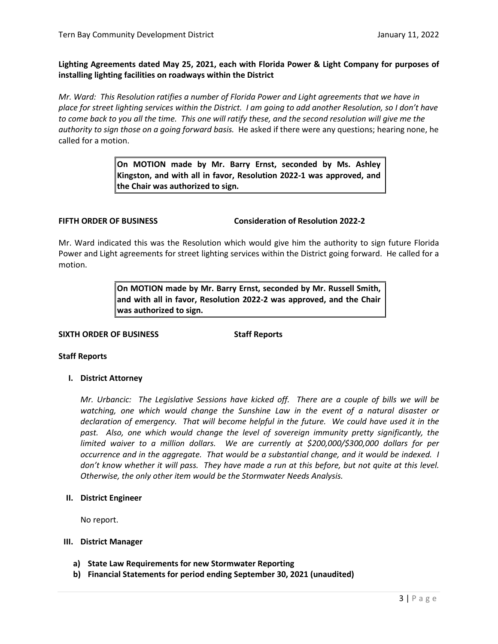## **Lighting Agreements dated May 25, 2021, each with Florida Power & Light Company for purposes of installing lighting facilities on roadways within the District**

*Mr. Ward: This Resolution ratifies a number of Florida Power and Light agreements that we have in place for street lighting services within the District. I am going to add another Resolution, so I don't have to come back to you all the time. This one will ratify these, and the second resolution will give me the authority to sign those on a going forward basis.* He asked if there were any questions; hearing none, he called for a motion.

> **On MOTION made by Mr. Barry Ernst, seconded by Ms. Ashley Kingston, and with all in favor, Resolution 2022-1 was approved, and the Chair was authorized to sign.**

**FIFTH ORDER OF BUSINESS Consideration of Resolution 2022-2**

Mr. Ward indicated this was the Resolution which would give him the authority to sign future Florida Power and Light agreements for street lighting services within the District going forward. He called for a motion.

> **On MOTION made by Mr. Barry Ernst, seconded by Mr. Russell Smith, and with all in favor, Resolution 2022-2 was approved, and the Chair was authorized to sign.**

## **SIXTH ORDER OF BUSINESS Staff Reports**

## **Staff Reports**

## **I. District Attorney**

*Mr. Urbancic: The Legislative Sessions have kicked off. There are a couple of bills we will be watching, one which would change the Sunshine Law in the event of a natural disaster or declaration of emergency. That will become helpful in the future. We could have used it in the past. Also, one which would change the level of sovereign immunity pretty significantly, the limited waiver to a million dollars. We are currently at \$200,000/\$300,000 dollars for per occurrence and in the aggregate. That would be a substantial change, and it would be indexed. I don't know whether it will pass. They have made a run at this before, but not quite at this level. Otherwise, the only other item would be the Stormwater Needs Analysis.* 

## **II. District Engineer**

No report.

## **III. District Manager**

- **a) State Law Requirements for new Stormwater Reporting**
- **b) Financial Statements for period ending September 30, 2021 (unaudited)**